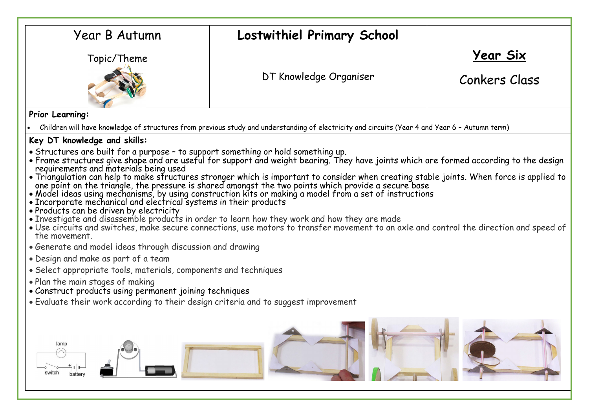| Year B Autumn                                                                                                                                                                                                                                                                                                                                                                                                                                                                                                                                                                                                                                                                                                                                                                                                                                                                                                                                                                                                                                                                                                                                                                  | Lostwithiel Primary School |                 |  |  |  |
|--------------------------------------------------------------------------------------------------------------------------------------------------------------------------------------------------------------------------------------------------------------------------------------------------------------------------------------------------------------------------------------------------------------------------------------------------------------------------------------------------------------------------------------------------------------------------------------------------------------------------------------------------------------------------------------------------------------------------------------------------------------------------------------------------------------------------------------------------------------------------------------------------------------------------------------------------------------------------------------------------------------------------------------------------------------------------------------------------------------------------------------------------------------------------------|----------------------------|-----------------|--|--|--|
| Topic/Theme                                                                                                                                                                                                                                                                                                                                                                                                                                                                                                                                                                                                                                                                                                                                                                                                                                                                                                                                                                                                                                                                                                                                                                    |                            | <b>Year Six</b> |  |  |  |
|                                                                                                                                                                                                                                                                                                                                                                                                                                                                                                                                                                                                                                                                                                                                                                                                                                                                                                                                                                                                                                                                                                                                                                                | DT Knowledge Organiser     | Conkers Class   |  |  |  |
| Prior Learning:                                                                                                                                                                                                                                                                                                                                                                                                                                                                                                                                                                                                                                                                                                                                                                                                                                                                                                                                                                                                                                                                                                                                                                |                            |                 |  |  |  |
| Children will have knowledge of structures from previous study and understanding of electricity and circuits (Year 4 and Year 6 - Autumn term)                                                                                                                                                                                                                                                                                                                                                                                                                                                                                                                                                                                                                                                                                                                                                                                                                                                                                                                                                                                                                                 |                            |                 |  |  |  |
| Key DT knowledge and skills:                                                                                                                                                                                                                                                                                                                                                                                                                                                                                                                                                                                                                                                                                                                                                                                                                                                                                                                                                                                                                                                                                                                                                   |                            |                 |  |  |  |
| • Structures are built for a purpose - to support something or hold something up.<br>• Frame structures give shape and are useful for support and weight bearing. They have joints which are formed according to the design<br>requirements and materials being used<br>• Triangulation can help to make structures stronger which is important to consider when creating stable joints. When force is applied to<br>one point on the triangle, the pressure is shared amongst the two points which provi<br>• Products can be driven by electricity<br>• Investigate and disassemble products in order to learn how they work and how they are made<br>. Use circuits and switches, make secure connections, use motors to transfer movement to an axle and control the direction and speed of<br>the movement.<br>• Generate and model ideas through discussion and drawing<br>• Design and make as part of a team<br>• Select appropriate tools, materials, components and techniques<br>• Plan the main stages of making<br>• Construct products using permanent joining techniques<br>• Evaluate their work according to their design criteria and to suggest improvement |                            |                 |  |  |  |
| lamp<br>switch<br>battery                                                                                                                                                                                                                                                                                                                                                                                                                                                                                                                                                                                                                                                                                                                                                                                                                                                                                                                                                                                                                                                                                                                                                      |                            |                 |  |  |  |